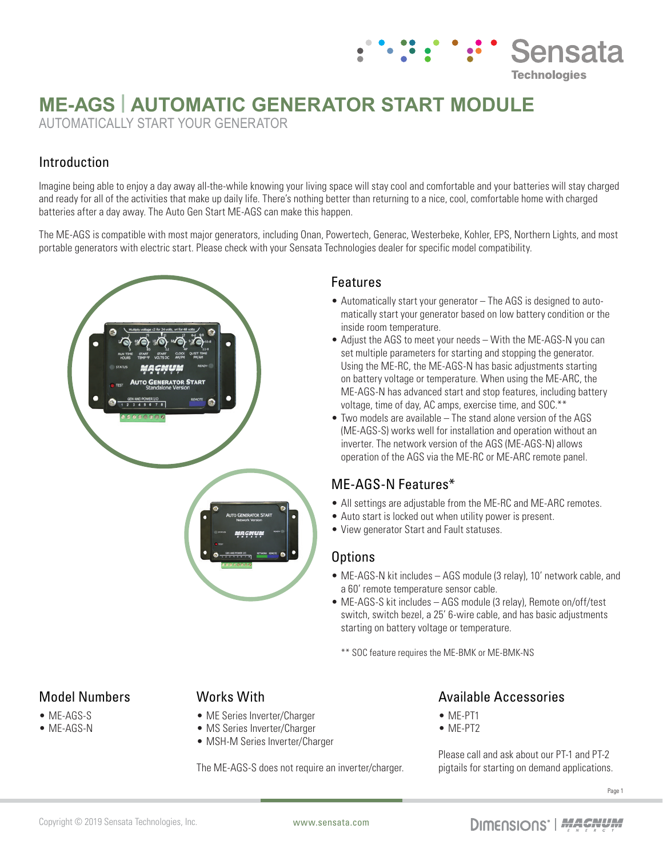# **ME-AGS | AUTOMATIC GENERATOR START MODULE**

AUTOMATICALLY START YOUR GENERATOR

# Introduction

Imagine being able to enjoy a day away all-the-while knowing your living space will stay cool and comfortable and your batteries will stay charged and ready for all of the activities that make up daily life. There's nothing better than returning to a nice, cool, comfortable home with charged batteries after a day away. The Auto Gen Start ME-AGS can make this happen.

The ME-AGS is compatible with most major generators, including Onan, Powertech, Generac, Westerbeke, Kohler, EPS, Northern Lights, and most portable generators with electric start. Please check with your Sensata Technologies dealer for specific model compatibility.



#### Features

• Automatically start your generator – The AGS is designed to automatically start your generator based on low battery condition or the inside room temperature.

: ' :' ' Sensata

**Technologies** 

- Adjust the AGS to meet your needs With the ME-AGS-N you can set multiple parameters for starting and stopping the generator. Using the ME-RC, the ME-AGS-N has basic adjustments starting on battery voltage or temperature. When using the ME-ARC, the ME-AGS-N has advanced start and stop features, including battery voltage, time of day, AC amps, exercise time, and SOC.\*\*
- Two models are available The stand alone version of the AGS (ME-AGS-S) works well for installation and operation without an inverter. The network version of the AGS (ME-AGS-N) allows operation of the AGS via the ME-RC or ME-ARC remote panel.

# ME-AGS-N Features\*

- All settings are adjustable from the ME-RC and ME-ARC remotes.
- Auto start is locked out when utility power is present.
- View generator Start and Fault statuses.

#### **Options**

- ME-AGS-N kit includes AGS module (3 relay), 10' network cable, and a 60' remote temperature sensor cable.
- ME-AGS-S kit includes AGS module (3 relay), Remote on/off/test switch, switch bezel, a 25' 6-wire cable, and has basic adjustments starting on battery voltage or temperature.

\*\* SOC feature requires the ME-BMK or ME-BMK-NS

#### Model Numbers

- ME-AGS-S
- ME-AGS-N

# Works With

- ME Series Inverter/Charger
- MS Series Inverter/Charger
- MSH-M Series Inverter/Charger

The ME-AGS-S does not require an inverter/charger.

# Available Accessories

- ME-PT1
- ME-PT2

Please call and ask about our PT-1 and PT-2 pigtails for starting on demand applications.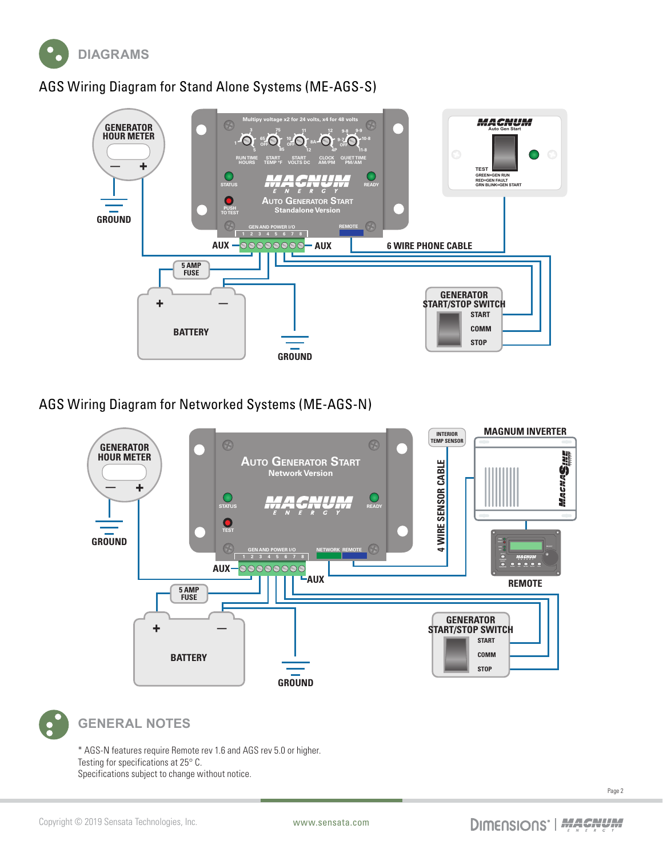

# AGS Wiring Diagram for Stand Alone Systems (ME-AGS-S)



### AGS Wiring Diagram for Networked Systems (ME-AGS-N)





#### **GENERAL NOTES**

\* AGS-N features require Remote rev 1.6 and AGS rev 5.0 or higher. Testing for specifications at 25° C. Specifications subject to change without notice.